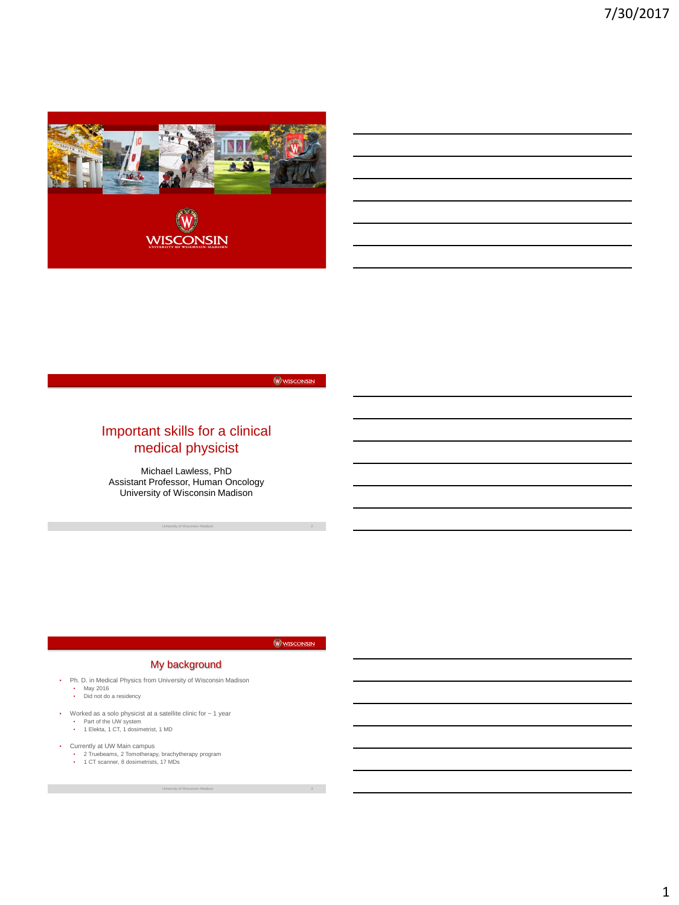

WISCONSIN

# Important skills for a clinical medical physicist

Michael Lawless, PhD Assistant Professor, Human Oncology University of Wisconsin Madison

University of Wisconsin–Madison 2

WISCONSIN

## My background

- Ph. D. in Medical Physics from University of Wisconsin Madison
	- May 2016 Did not do a residency
	-
- Worked as a solo physicist at a satellite clinic for ~ 1 year
	- Part of the UW system 1 Elekta, 1 CT, 1 dosimetrist, 1 MD
- 
- Currently at UW Main campus 2 Truebeams, 2 Tomotherapy, brachytherapy program 1 CT scanner, 8 dosimetrists, 17 MDs
	-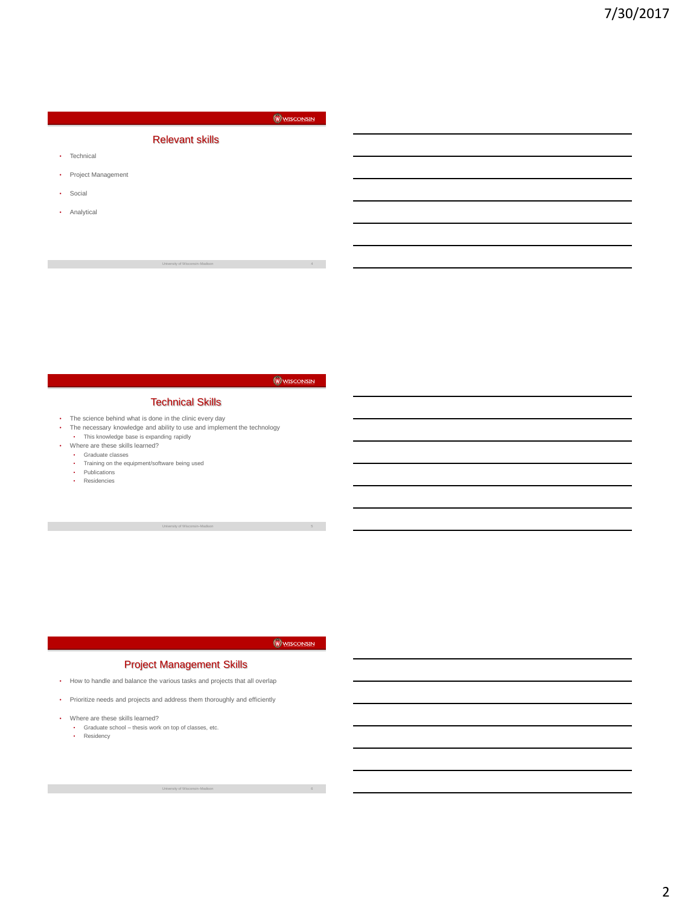# WISCONSIN Relevant skills • Technical • Project Management • Social • Analytical

## WISCONSIN

#### Technical Skills

- The science behind what is done in the clinic every day
- The necessary knowledge and ability to use and implement the technology • This knowledge base is expanding rapidly
- Where are these skills learned?
	- Graduate classes
	- Training on the equipment/software being used
	- Publications Residencies
	-

WISCONSIN

University of Wisconsin–Madison 5

## Project Management Skills

- How to handle and balance the various tasks and projects that all overlap
- Prioritize needs and projects and address them thoroughly and efficiently
- Where are these skills learned?
	- Graduate school thesis work on top of classes, etc. Residency
	-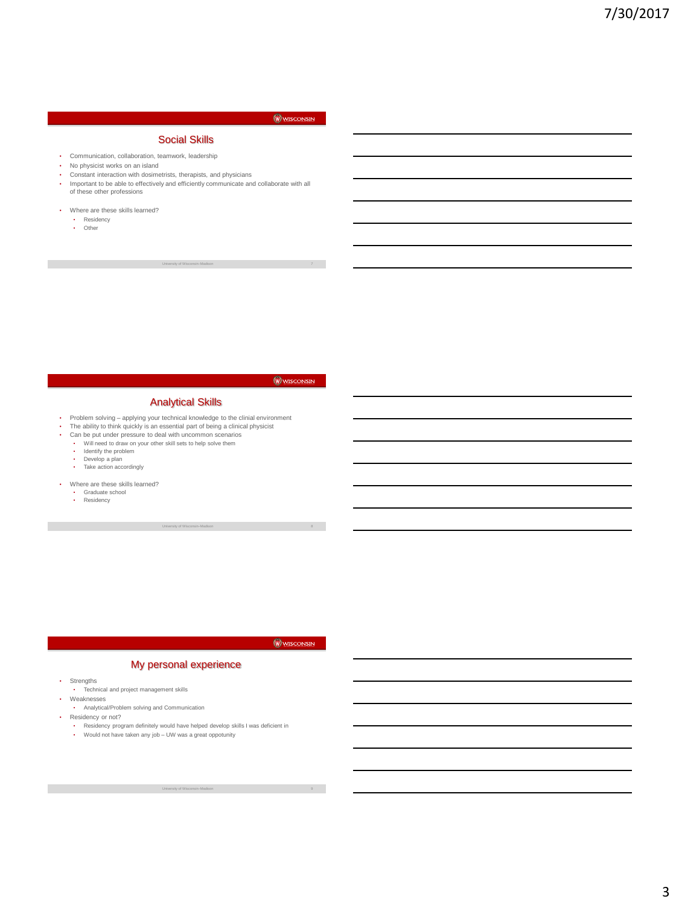#### WISCONSIN

# Social Skills

- Communication, collaboration, teamwork, leadership
- No physicist works on an island<br>• Constant interaction with dosime
- Constant interaction with dosimetrists, therapists, and physicians
- Important to be able to effectively and efficiently communicate and collaborate with all of these other professions
- Where are these skills learned?
	- Residency Other

## WISCONSIN

#### Analytical Skills

- Problem solving applying your technical knowledge to the clinial environment
- The ability to think quickly is an essential part of being a clinical physicist Can be put under pressure to deal with uncommon scenarios
- Will need to draw on your other skill sets to help solve them
	-
	- Identify the problem<br>• Develop a plan • Develop a plan
	- Take action accordingly
- Where are these skills learned?
	- Graduate school Residency

## WISCONSIN

University of Wisconsin–Madison 8

#### My personal experience

- Strengths
	- Technical and project management skills
- Weaknesses

- Residency or not?
	- Residency program definitely would have helped develop skills I was deficient in
	- Would not have taken any job UW was a great oppotunity

<sup>•</sup> Analytical/Problem solving and Communication